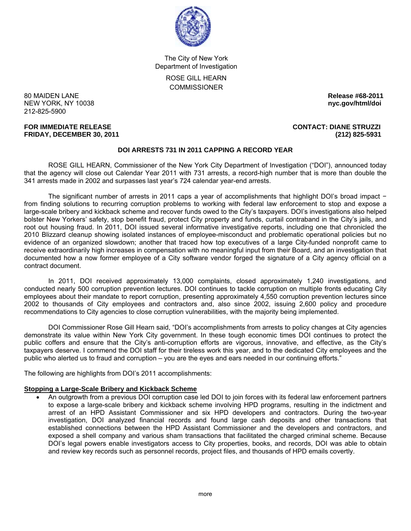

The City of New York Department of Investigation ROSE GILL HEARN **COMMISSIONER** 

80 MAIDEN LANE **Release #68-2011 NEW YORK, NY 10038** 212-825-5900

# **FRIDAY, DECEMBER 30, 2011 (212) 825-5931**

## **FOR IMMEDIATE RELEASE CONTACT: DIANE STRUZZI**

## **DOI ARRESTS 731 IN 2011 CAPPING A RECORD YEAR**

 ROSE GILL HEARN, Commissioner of the New York City Department of Investigation ("DOI"), announced today that the agency will close out Calendar Year 2011 with 731 arrests, a record-high number that is more than double the 341 arrests made in 2002 and surpasses last year's 724 calendar year-end arrests.

The significant number of arrests in 2011 caps a year of accomplishments that highlight DOI's broad impact − from finding solutions to recurring corruption problems to working with federal law enforcement to stop and expose a large-scale bribery and kickback scheme and recover funds owed to the City's taxpayers. DOI's investigations also helped bolster New Yorkers' safety, stop benefit fraud, protect City property and funds, curtail contraband in the City's jails, and root out housing fraud. In 2011, DOI issued several informative investigative reports, including one that chronicled the 2010 Blizzard cleanup showing isolated instances of employee-misconduct and problematic operational policies but no evidence of an organized slowdown; another that traced how top executives of a large City-funded nonprofit came to receive extraordinarily high increases in compensation with no meaningful input from their Board, and an investigation that documented how a now former employee of a City software vendor forged the signature of a City agency official on a contract document.

 In 2011, DOI received approximately 13,000 complaints, closed approximately 1,240 investigations, and conducted nearly 500 corruption prevention lectures. DOI continues to tackle corruption on multiple fronts educating City employees about their mandate to report corruption, presenting approximately 4,550 corruption prevention lectures since 2002 to thousands of City employees and contractors and, also since 2002, issuing 2,600 policy and procedure recommendations to City agencies to close corruption vulnerabilities, with the majority being implemented.

 DOI Commissioner Rose Gill Hearn said, "DOI's accomplishments from arrests to policy changes at City agencies demonstrate its value within New York City government. In these tough economic times DOI continues to protect the public coffers and ensure that the City's anti-corruption efforts are vigorous, innovative, and effective, as the City's taxpayers deserve. I commend the DOI staff for their tireless work this year, and to the dedicated City employees and the public who alerted us to fraud and corruption – you are the eyes and ears needed in our continuing efforts."

The following are highlights from DOI's 2011 accomplishments:

## **Stopping a Large-Scale Bribery and Kickback Scheme**

• An outgrowth from a previous DOI corruption case led DOI to join forces with its federal law enforcement partners to expose a large-scale bribery and kickback scheme involving HPD programs, resulting in the indictment and arrest of an HPD Assistant Commissioner and six HPD developers and contractors. During the two-year investigation, DOI analyzed financial records and found large cash deposits and other transactions that established connections between the HPD Assistant Commissioner and the developers and contractors, and exposed a shell company and various sham transactions that facilitated the charged criminal scheme. Because DOI's legal powers enable investigators access to City properties, books, and records, DOI was able to obtain and review key records such as personnel records, project files, and thousands of HPD emails covertly.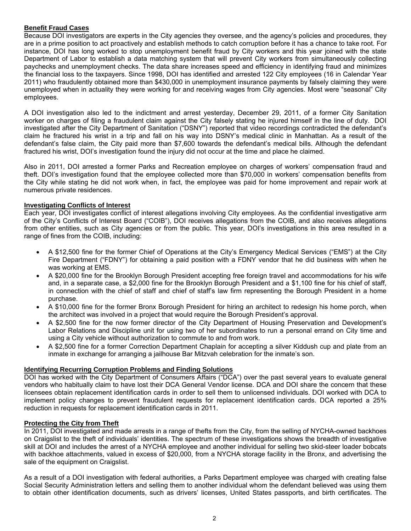## **Benefit Fraud Cases**

Because DOI investigators are experts in the City agencies they oversee, and the agency's policies and procedures, they are in a prime position to act proactively and establish methods to catch corruption before it has a chance to take root. For instance, DOI has long worked to stop unemployment benefit fraud by City workers and this year joined with the state Department of Labor to establish a data matching system that will prevent City workers from simultaneously collecting paychecks and unemployment checks. The data share increases speed and efficiency in identifying fraud and minimizes the financial loss to the taxpayers. Since 1998, DOI has identified and arrested 122 City employees (16 in Calendar Year 2011) who fraudulently obtained more than \$430,000 in unemployment insurance payments by falsely claiming they were unemployed when in actuality they were working for and receiving wages from City agencies. Most were "seasonal" City employees.

A DOI investigation also led to the indictment and arrest yesterday, December 29, 2011, of a former City Sanitation worker on charges of filing a fraudulent claim against the City falsely stating he injured himself in the line of duty. DOI investigated after the City Department of Sanitation ("DSNY") reported that video recordings contradicted the defendant's claim he fractured his wrist in a trip and fall on his way into DSNY's medical clinic in Manhattan. As a result of the defendant's false claim, the City paid more than \$7,600 towards the defendant's medical bills. Although the defendant fractured his wrist, DOI's investigation found the injury did not occur at the time and place he claimed.

Also in 2011, DOI arrested a former Parks and Recreation employee on charges of workers' compensation fraud and theft. DOI's investigation found that the employee collected more than \$70,000 in workers' compensation benefits from the City while stating he did not work when, in fact, the employee was paid for home improvement and repair work at numerous private residences.

## **Investigating Conflicts of Interest**

Each year, DOI investigates conflict of interest allegations involving City employees. As the confidential investigative arm of the City's Conflicts of Interest Board ("COIB"), DOI receives allegations from the COIB, and also receives allegations from other entities, such as City agencies or from the public. This year, DOI's investigations in this area resulted in a range of fines from the COIB, including:

- A \$12,500 fine for the former Chief of Operations at the City's Emergency Medical Services ("EMS") at the City Fire Department ("FDNY") for obtaining a paid position with a FDNY vendor that he did business with when he was working at EMS.
- A \$20,000 fine for the Brooklyn Borough President accepting free foreign travel and accommodations for his wife and, in a separate case, a \$2,000 fine for the Brooklyn Borough President and a \$1,100 fine for his chief of staff, in connection with the chief of staff and chief of staff's law firm representing the Borough President in a home purchase.
- A \$10,000 fine for the former Bronx Borough President for hiring an architect to redesign his home porch, when the architect was involved in a project that would require the Borough President's approval.
- A \$2,500 fine for the now former director of the City Department of Housing Preservation and Development's Labor Relations and Discipline unit for using two of her subordinates to run a personal errand on City time and using a City vehicle without authorization to commute to and from work.
- A \$2,500 fine for a former Correction Department Chaplain for accepting a silver Kiddush cup and plate from an inmate in exchange for arranging a jailhouse Bar Mitzvah celebration for the inmate's son.

#### **Identifying Recurring Corruption Problems and Finding Solutions**

DOI has worked with the City Department of Consumers Affairs ("DCA") over the past several years to evaluate general vendors who habitually claim to have lost their DCA General Vendor license. DCA and DOI share the concern that these licensees obtain replacement identification cards in order to sell them to unlicensed individuals. DOI worked with DCA to implement policy changes to prevent fraudulent requests for replacement identification cards. DCA reported a 25% reduction in requests for replacement identification cards in 2011.

#### **Protecting the City from Theft**

In 2011, DOI investigated and made arrests in a range of thefts from the City, from the selling of NYCHA-owned backhoes on Craigslist to the theft of individuals' identities. The spectrum of these investigations shows the breadth of investigative skill at DOI and includes the arrest of a NYCHA employee and another individual for selling two skid-steer loader bobcats with backhoe attachments, valued in excess of \$20,000, from a NYCHA storage facility in the Bronx, and advertising the sale of the equipment on Craigslist.

As a result of a DOI investigation with federal authorities, a Parks Department employee was charged with creating false Social Security Administration letters and selling them to another individual whom the defendant believed was using them to obtain other identification documents, such as drivers' licenses, United States passports, and birth certificates. The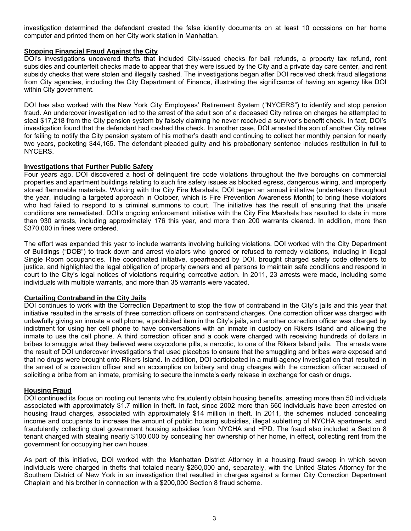investigation determined the defendant created the false identity documents on at least 10 occasions on her home computer and printed them on her City work station in Manhattan.

## **Stopping Financial Fraud Against the City**

DOI's investigations uncovered thefts that included City-issued checks for bail refunds, a property tax refund, rent subsidies and counterfeit checks made to appear that they were issued by the City and a private day care center, and rent subsidy checks that were stolen and illegally cashed. The investigations began after DOI received check fraud allegations from City agencies, including the City Department of Finance, illustrating the significance of having an agency like DOI within City government.

DOI has also worked with the New York City Employees' Retirement System ("NYCERS") to identify and stop pension fraud. An undercover investigation led to the arrest of the adult son of a deceased City retiree on charges he attempted to steal \$17,218 from the City pension system by falsely claiming he never received a survivor's benefit check. In fact, DOI's investigation found that the defendant had cashed the check. In another case, DOI arrested the son of another City retiree for failing to notify the City pension system of his mother's death and continuing to collect her monthly pension for nearly two years, pocketing \$44,165. The defendant pleaded guilty and his probationary sentence includes restitution in full to NYCERS.

#### **Investigations that Further Public Safety**

Four years ago, DOI discovered a host of delinquent fire code violations throughout the five boroughs on commercial properties and apartment buildings relating to such fire safety issues as blocked egress, dangerous wiring, and improperly stored flammable materials. Working with the City Fire Marshals, DOI began an annual initiative (undertaken throughout the year, including a targeted approach in October, which is Fire Prevention Awareness Month) to bring these violators who had failed to respond to a criminal summons to court. The initiative has the result of ensuring that the unsafe conditions are remediated. DOI's ongoing enforcement initiative with the City Fire Marshals has resulted to date in more than 930 arrests, including approximately 176 this year, and more than 200 warrants cleared. In addition, more than \$370,000 in fines were ordered.

The effort was expanded this year to include warrants involving building violations. DOI worked with the City Department of Buildings ("DOB") to track down and arrest violators who ignored or refused to remedy violations, including in illegal Single Room occupancies. The coordinated initiative, spearheaded by DOI, brought charged safety code offenders to justice, and highlighted the legal obligation of property owners and all persons to maintain safe conditions and respond in court to the City's legal notices of violations requiring corrective action. In 2011, 23 arrests were made, including some individuals with multiple warrants, and more than 35 warrants were vacated.

## **Curtailing Contraband in the City Jails**

DOI continues to work with the Correction Department to stop the flow of contraband in the City's jails and this year that initiative resulted in the arrests of three correction officers on contraband charges. One correction officer was charged with unlawfully giving an inmate a cell phone, a prohibited item in the City's jails, and another correction officer was charged by indictment for using her cell phone to have conversations with an inmate in custody on Rikers Island and allowing the inmate to use the cell phone. A third correction officer and a cook were charged with receiving hundreds of dollars in bribes to smuggle what they believed were oxycodone pills, a narcotic, to one of the Rikers Island jails. The arrests were the result of DOI undercover investigations that used placebos to ensure that the smuggling and bribes were exposed and that no drugs were brought onto Rikers Island. In addition, DOI participated in a multi-agency investigation that resulted in the arrest of a correction officer and an accomplice on bribery and drug charges with the correction officer accused of soliciting a bribe from an inmate, promising to secure the inmate's early release in exchange for cash or drugs.

#### **Housing Fraud**

DOI continued its focus on rooting out tenants who fraudulently obtain housing benefits, arresting more than 50 individuals associated with approximately \$1.7 million in theft. In fact, since 2002 more than 660 individuals have been arrested on housing fraud charges, associated with approximately \$14 million in theft. In 2011, the schemes included concealing income and occupants to increase the amount of public housing subsidies, illegal subletting of NYCHA apartments, and fraudulently collecting dual government housing subsidies from NYCHA and HPD. The fraud also included a Section 8 tenant charged with stealing nearly \$100,000 by concealing her ownership of her home, in effect, collecting rent from the government for occupying her own house.

As part of this initiative, DOI worked with the Manhattan District Attorney in a housing fraud sweep in which seven individuals were charged in thefts that totaled nearly \$260,000 and, separately, with the United States Attorney for the Southern District of New York in an investigation that resulted in charges against a former City Correction Department Chaplain and his brother in connection with a \$200,000 Section 8 fraud scheme.